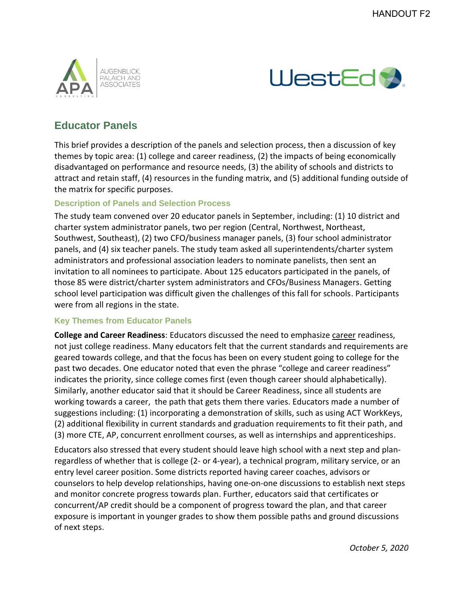



# **Educator Panels**

This brief provides a description of the panels and selection process, then a discussion of key themes by topic area: (1) college and career readiness, (2) the impacts of being economically disadvantaged on performance and resource needs, (3) the ability of schools and districts to attract and retain staff, (4) resources in the funding matrix, and (5) additional funding outside of the matrix for specific purposes.

### **Description of Panels and Selection Process**

The study team convened over 20 educator panels in September, including: (1) 10 district and charter system administrator panels, two per region (Central, Northwest, Northeast, Southwest, Southeast), (2) two CFO/business manager panels, (3) four school administrator panels, and (4) six teacher panels. The study team asked all superintendents/charter system administrators and professional association leaders to nominate panelists, then sent an invitation to all nominees to participate. About 125 educators participated in the panels, of those 85 were district/charter system administrators and CFOs/Business Managers. Getting school level participation was difficult given the challenges of this fall for schools. Participants were from all regions in the state.

### **Key Themes from Educator Panels**

**College and Career Readiness**: Educators discussed the need to emphasize *career readiness*, not just college readiness. Many educators felt that the current standards and requirements are geared towards college, and that the focus has been on every student going to college for the past two decades. One educator noted that even the phrase "college and career readiness" indicates the priority, since college comes first (even though career should alphabetically). Similarly, another educator said that it should be Career Readiness, since all students are working towards a career, the path that gets them there varies. Educators made a number of suggestions including: (1) incorporating a demonstration of skills, such as using ACT WorkKeys, (2) additional flexibility in current standards and graduation requirements to fit their path, and (3) more CTE, AP, concurrent enrollment courses, as well as internships and apprenticeships.

Educators also stressed that every student should leave high school with a next step and planregardless of whether that is college (2- or 4-year), a technical program, military service, or an entry level career position. Some districts reported having career coaches, advisors or counselors to help develop relationships, having one-on-one discussions to establish next steps and monitor concrete progress towards plan. Further, educators said that certificates or concurrent/AP credit should be a component of progress toward the plan, and that career exposure is important in younger grades to show them possible paths and ground discussions of next steps.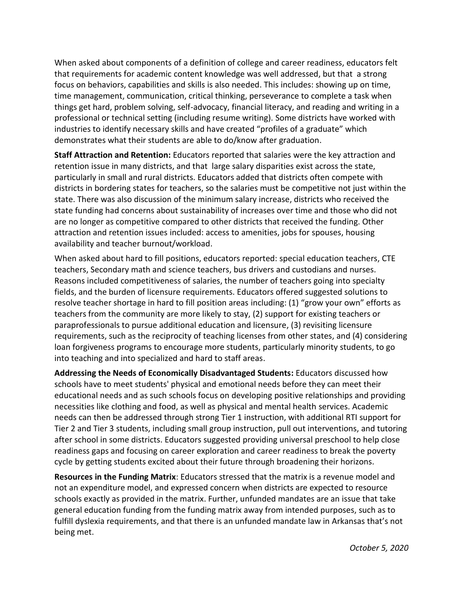When asked about components of a definition of college and career readiness, educators felt that requirements for academic content knowledge was well addressed, but that a strong focus on behaviors, capabilities and skills is also needed. This includes: showing up on time, time management, communication, critical thinking, perseverance to complete a task when things get hard, problem solving, self-advocacy, financial literacy, and reading and writing in a professional or technical setting (including resume writing). Some districts have worked with industries to identify necessary skills and have created "profiles of a graduate" which demonstrates what their students are able to do/know after graduation.

**Staff Attraction and Retention:** Educators reported that salaries were the key attraction and retention issue in many districts, and that large salary disparities exist across the state, particularly in small and rural districts. Educators added that districts often compete with districts in bordering states for teachers, so the salaries must be competitive not just within the state. There was also discussion of the minimum salary increase, districts who received the state funding had concerns about sustainability of increases over time and those who did not are no longer as competitive compared to other districts that received the funding. Other attraction and retention issues included: access to amenities, jobs for spouses, housing availability and teacher burnout/workload.

When asked about hard to fill positions, educators reported: special education teachers, CTE teachers, Secondary math and science teachers, bus drivers and custodians and nurses. Reasons included competitiveness of salaries, the number of teachers going into specialty fields, and the burden of licensure requirements. Educators offered suggested solutions to resolve teacher shortage in hard to fill position areas including: (1) "grow your own" efforts as teachers from the community are more likely to stay, (2) support for existing teachers or paraprofessionals to pursue additional education and licensure, (3) revisiting licensure requirements, such as the reciprocity of teaching licenses from other states, and (4) considering loan forgiveness programs to encourage more students, particularly minority students, to go into teaching and into specialized and hard to staff areas.

**Addressing the Needs of Economically Disadvantaged Students:** Educators discussed how schools have to meet students' physical and emotional needs before they can meet their educational needs and as such schools focus on developing positive relationships and providing necessities like clothing and food, as well as physical and mental health services. Academic needs can then be addressed through strong Tier 1 instruction, with additional RTI support for Tier 2 and Tier 3 students, including small group instruction, pull out interventions, and tutoring after school in some districts. Educators suggested providing universal preschool to help close readiness gaps and focusing on career exploration and career readiness to break the poverty cycle by getting students excited about their future through broadening their horizons.

**Resources in the Funding Matrix**: Educators stressed that the matrix is a revenue model and not an expenditure model, and expressed concern when districts are expected to resource schools exactly as provided in the matrix. Further, unfunded mandates are an issue that take general education funding from the funding matrix away from intended purposes, such as to fulfill dyslexia requirements, and that there is an unfunded mandate law in Arkansas that's not being met.